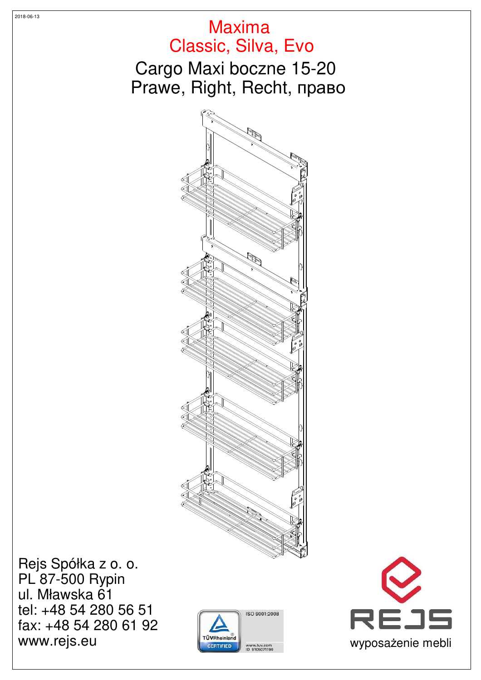



Rejs Spółka z o. o. PL 87-500 Rypin ul. Mławska 61 tel: +48 54 280 56 51 fax: +48 54 280 61 92 WWW.rejs.eu wyposażenie mebli

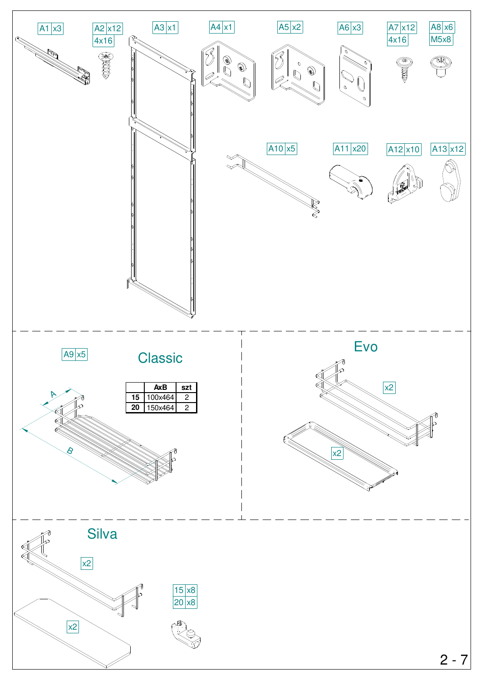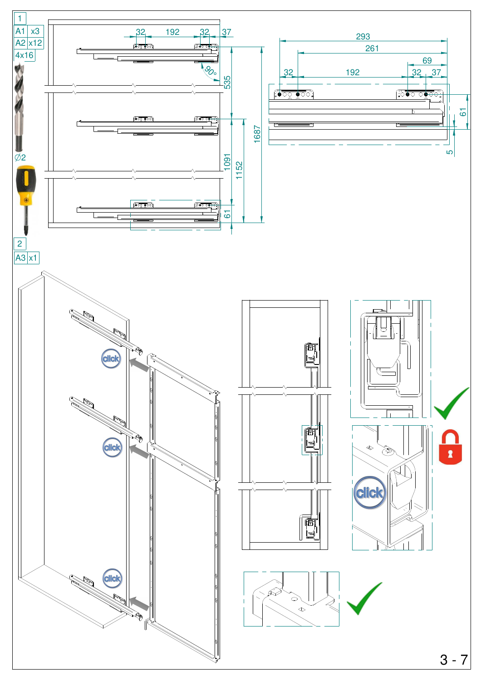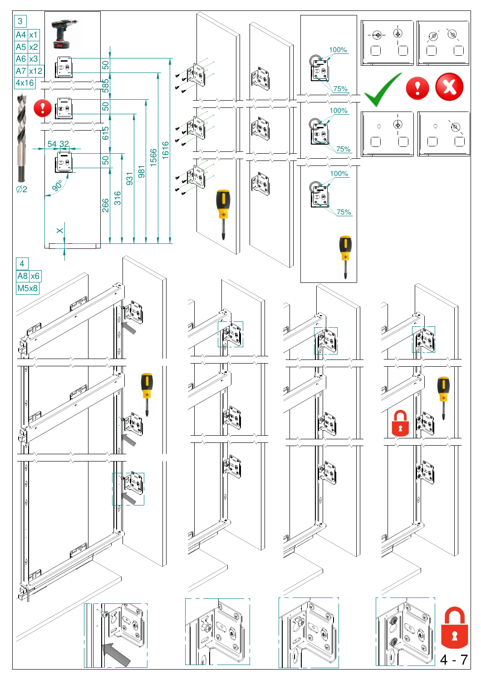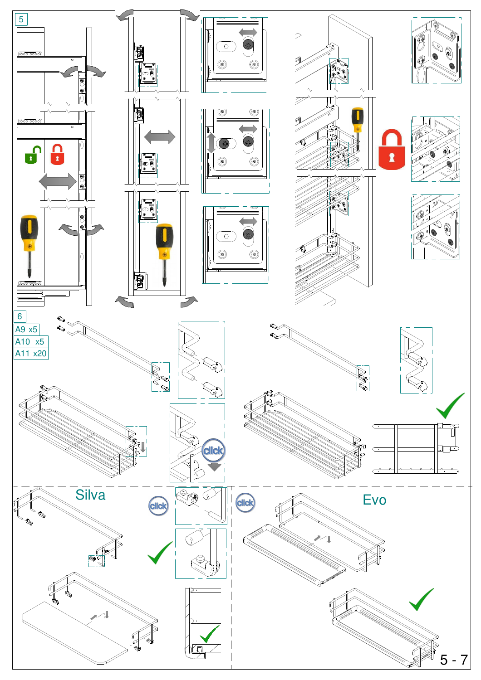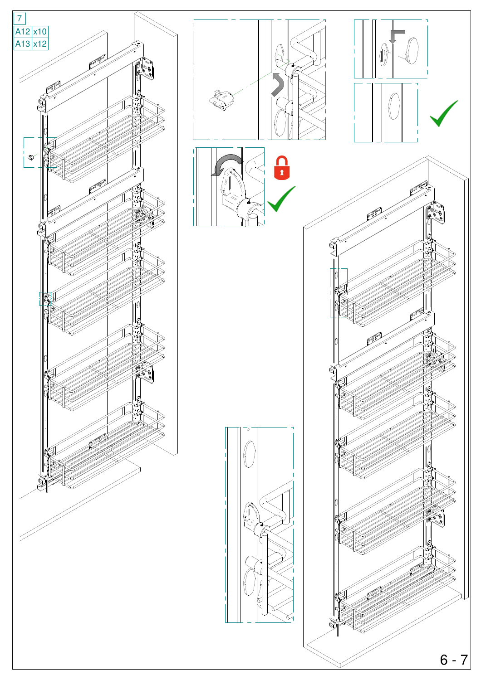